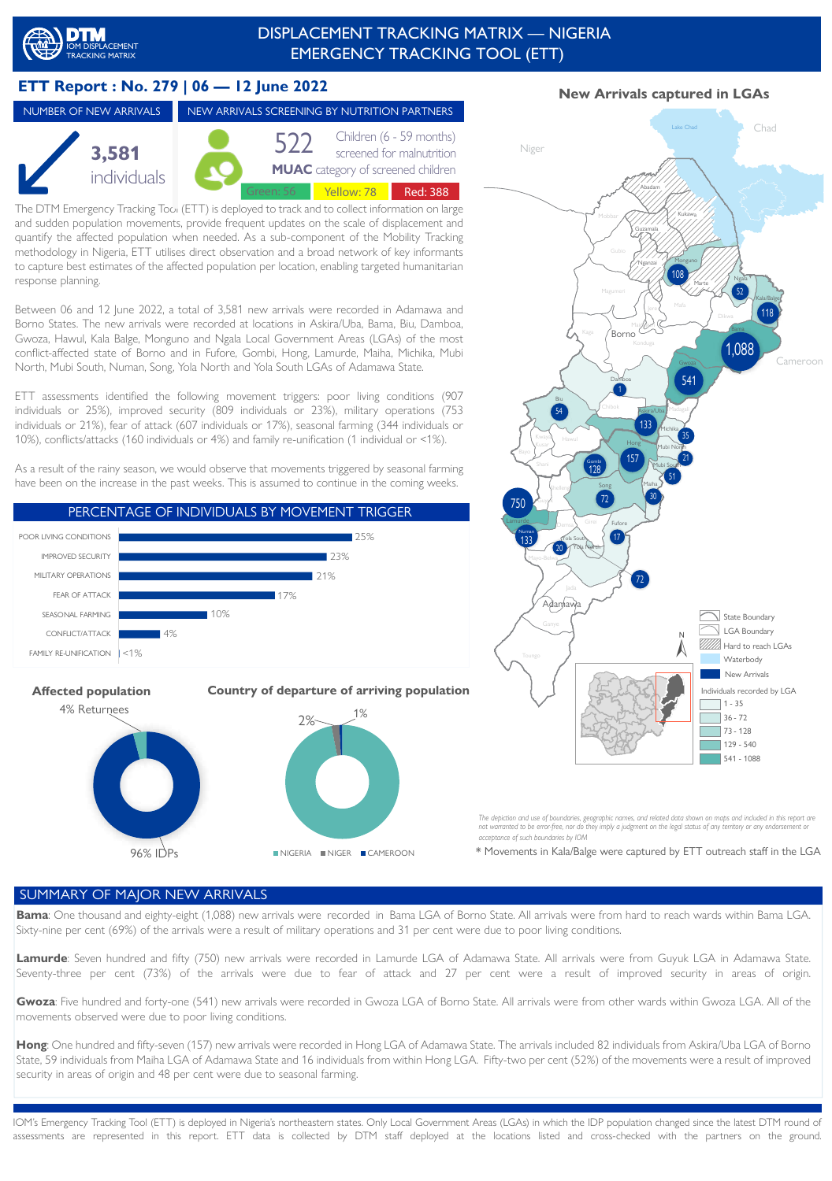# EMERGENCY TRACKING TOOL (ETT) DISPLACEMENT TRACKING MATRIX — NIGERIA

## **ETT Report : No. 279 | 06 — 12 June 2022**

#### **3,581**  individuals NUMBER OF NEW ARRIVALS NEW ARRIVALS SCREENING BY NUTRITION PARTNERS **MUAC** category of screened children 522 Children (6 - 59 months)<br>screened for malnutrition Green: 56 | Yellow: 78 | Red: 388

and sudden population movements, provide frequent updates on the scale of displacement and The DTM Emergency Tracking Tool (ETT) is deployed to track and to collect information on large quantify the affected population when needed. As a sub-component of the Mobility Tracking methodology in Nigeria, ETT utilises direct observation and a broad network of key informants to capture best estimates of the affected population per location, enabling targeted humanitarian response planning.

Between 06 and 12 June 2022, a total of 3,581 new arrivals were recorded in Adamawa and Borno States. The new arrivals were recorded at locations in Askira/Uba, Bama, Biu, Damboa, Gwoza, Hawul, Kala Balge, Monguno and Ngala Local Government Areas (LGAs) of the most conflict-affected state of Borno and in Fufore, Gombi, Hong, Lamurde, Maiha, Michika, Mubi North, Mubi South, Numan, Song, Yola North and Yola South LGAs of Adamawa State.

ETT assessments identified the following movement triggers: poor living conditions (907) individuals or 25%), improved security (809 individuals or 23%), military operations (753 individuals or 21%), fear of attack (607 individuals or 17%), seasonal farming (344 individuals or 10%), conflicts/attacks (160 individuals or 4%) and family re-unification (1 individual or <1%).

As a result of the rainy season, we would observe that movements triggered by seasonal farming have been on the increase in the past weeks. This is assumed to continue in the coming weeks.



**Affected population** 



**Country of departure of arriving population**



*The depiction and use of boundaries, geographic names, and related data shown on maps and included in this report are not warranted to be error-free, nor do they imply a judgment on the legal status of any territory or any endorsement or acceptance of such boundaries by IOM*

\* Movements in Kala/Balge were captured by ETT outreach staff in the LGA

#### SUMMARY OF MAJOR NEW ARRIVALS

**Bama**: One thousand and eighty-eight (1,088) new arrivals were recorded in Bama LGA of Borno State. All arrivals were from hard to reach wards within Bama LGA. Sixty-nine per cent (69%) of the arrivals were a result of military operations and 31 per cent were due to poor living conditions.

Lamurde: Seven hundred and fifty (750) new arrivals were recorded in Lamurde LGA of Adamawa State. All arrivals were from Guyuk LGA in Adamawa State. Seventy-three per cent (73%) of the arrivals were due to fear of attack and 27 per cent were a result of improved security in areas of origin.

**Gwoza**: Five hundred and forty-one (541) new arrivals were recorded in Gwoza LGA of Borno State. All arrivals were from other wards within Gwoza LGA. All of the movements observed were due to poor living conditions.

**Hong**: One hundred and fifty-seven (157) new arrivals were recorded in Hong LGA of Adamawa State. The arrivals included 82 individuals from Askira/Uba LGA of Borno State, 59 individuals from Maiha LGA of Adamawa State and 16 individuals from within Hong LGA. Fifty-two per cent (52%) of the movements were a result of improved security in areas of origin and 48 per cent were due to seasonal farming.

IOM's Emergency Tracking Tool (ETT) is deployed in Nigeria's northeastern states. Only Local Government Areas (LGAs) in which the IDP population changed since the latest DTM round of assessments are represented in this report. ETT data is collected by DTM staff deployed at the locations listed and cross-checked with the partners on the ground.

## **New Arrivals captured in LGAs**